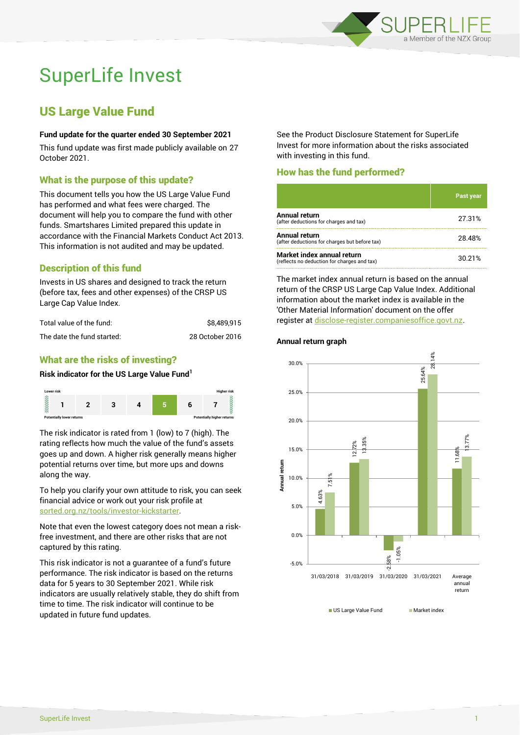

# SuperLife Invest

# US Large Value Fund

#### **Fund update for the quarter ended 30 September 2021**

This fund update was first made publicly available on 27 October 2021.

# What is the purpose of this update?

This document tells you how the US Large Value Fund has performed and what fees were charged. The document will help you to compare the fund with other funds. Smartshares Limited prepared this update in accordance with the Financial Markets Conduct Act 2013. This information is not audited and may be updated.

# Description of this fund

Invests in US shares and designed to track the return (before tax, fees and other expenses) of the CRSP US Large Cap Value Index.

| Total value of the fund:   | \$8,489,915     |
|----------------------------|-----------------|
| The date the fund started: | 28 October 2016 |

# What are the risks of investing?

#### **Risk indicator for the US Large Value Fund<sup>1</sup>**



The risk indicator is rated from 1 (low) to 7 (high). The rating reflects how much the value of the fund's assets goes up and down. A higher risk generally means higher potential returns over time, but more ups and downs along the way.

To help you clarify your own attitude to risk, you can seek financial advice or work out your risk profile at [sorted.org.nz/tools/investor-kickstarter.](http://www.sorted.org.nz/tools/investor-kickstarter)

Note that even the lowest category does not mean a riskfree investment, and there are other risks that are not captured by this rating.

This risk indicator is not a guarantee of a fund's future performance. The risk indicator is based on the returns data for 5 years to 30 September 2021. While risk indicators are usually relatively stable, they do shift from time to time. The risk indicator will continue to be updated in future fund updates.

See the Product Disclosure Statement for SuperLife Invest for more information about the risks associated with investing in this fund.

# How has the fund performed?

|                                                                           | <b>Past year</b> |
|---------------------------------------------------------------------------|------------------|
| <b>Annual return</b><br>(after deductions for charges and tax)            | 27.31%           |
| Annual return<br>(after deductions for charges but before tax)            | 28.48%           |
| Market index annual return<br>(reflects no deduction for charges and tax) | 30.21%           |

The market index annual return is based on the annual return of the CRSP US Large Cap Value Index. Additional information about the market index is available in the 'Other Material Information' document on the offer register a[t disclose-register.companiesoffice.govt.nz.](http://www.disclose-register.companiesoffice.govt.nz/)

#### **Annual return graph**



US Large Value Fund Market index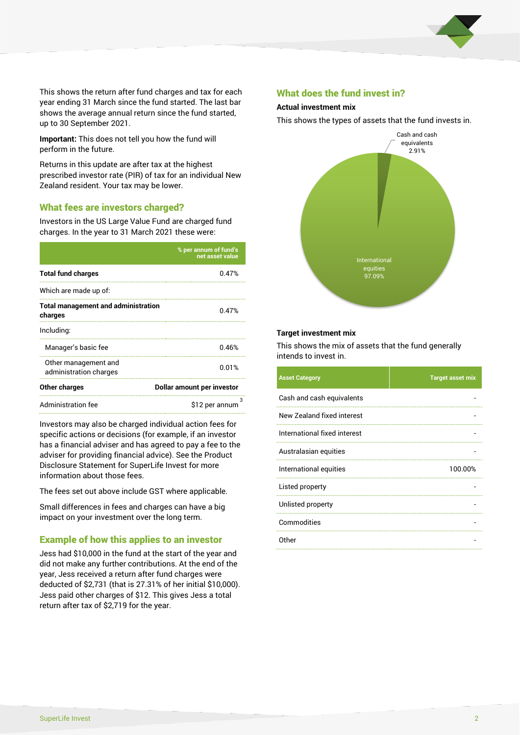

This shows the return after fund charges and tax for each year ending 31 March since the fund started. The last bar shows the average annual return since the fund started, up to 30 September 2021.

**Important:** This does not tell you how the fund will perform in the future.

Returns in this update are after tax at the highest prescribed investor rate (PIR) of tax for an individual New Zealand resident. Your tax may be lower.

# What fees are investors charged?

Investors in the US Large Value Fund are charged fund charges. In the year to 31 March 2021 these were:

|                                                       | % per annum of fund's<br>net asset value |  |
|-------------------------------------------------------|------------------------------------------|--|
| <b>Total fund charges</b>                             | 0.47%                                    |  |
| Which are made up of:                                 |                                          |  |
| <b>Total management and administration</b><br>charges | 0.47%                                    |  |
| Including:                                            |                                          |  |
| Manager's basic fee                                   | 0.46%                                    |  |
| Other management and<br>administration charges        | 0.01%                                    |  |
| Other charges                                         | Dollar amount per investor               |  |
| Administration fee                                    | з<br>\$12 per annum                      |  |

Investors may also be charged individual action fees for specific actions or decisions (for example, if an investor has a financial adviser and has agreed to pay a fee to the adviser for providing financial advice). See the Product Disclosure Statement for SuperLife Invest for more information about those fees.

The fees set out above include GST where applicable.

Small differences in fees and charges can have a big impact on your investment over the long term.

# Example of how this applies to an investor

Jess had \$10,000 in the fund at the start of the year and did not make any further contributions. At the end of the year, Jess received a return after fund charges were deducted of \$2,731 (that is 27.31% of her initial \$10,000). Jess paid other charges of \$12. This gives Jess a total return after tax of \$2,719 for the year.

#### What does the fund invest in?

#### **Actual investment mix**

This shows the types of assets that the fund invests in.



#### **Target investment mix**

This shows the mix of assets that the fund generally intends to invest in.

| <b>Asset Category</b>        | <b>Target asset mix</b> |
|------------------------------|-------------------------|
| Cash and cash equivalents    |                         |
| New Zealand fixed interest   |                         |
| International fixed interest |                         |
| Australasian equities        |                         |
| International equities       | 100.00%                 |
| Listed property              |                         |
| Unlisted property            |                         |
| Commodities                  |                         |
| Other                        |                         |